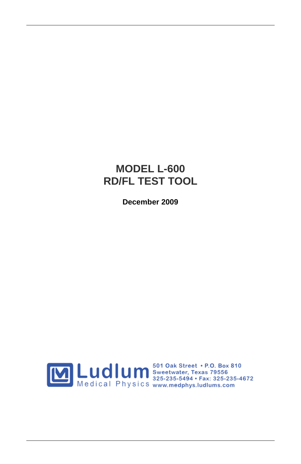## **MODEL L-600 RD/FL TEST TOOL**

**December 2009**

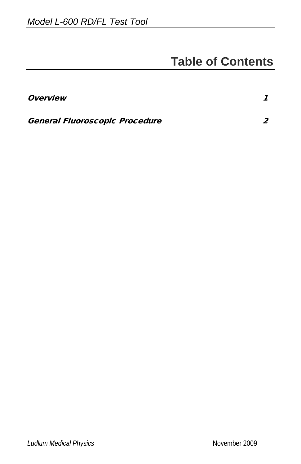## **Table of Contents**

| <i><b>Overview</b></i>                |  |
|---------------------------------------|--|
| <b>General Fluoroscopic Procedure</b> |  |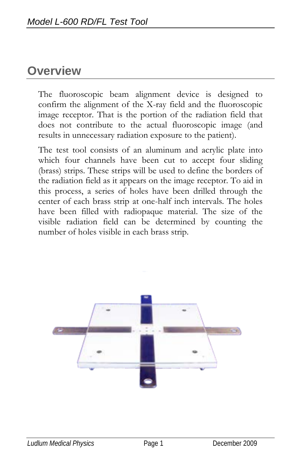## **Overview**

The fluoroscopic beam alignment device is designed to confirm the alignment of the X-ray field and the fluoroscopic image receptor. That is the portion of the radiation field that does not contribute to the actual fluoroscopic image (and results in unnecessary radiation exposure to the patient).

The test tool consists of an aluminum and acrylic plate into which four channels have been cut to accept four sliding (brass) strips. These strips will be used to define the borders of the radiation field as it appears on the image receptor. To aid in this process, a series of holes have been drilled through the center of each brass strip at one-half inch intervals. The holes have been filled with radiopaque material. The size of the visible radiation field can be determined by counting the number of holes visible in each brass strip.